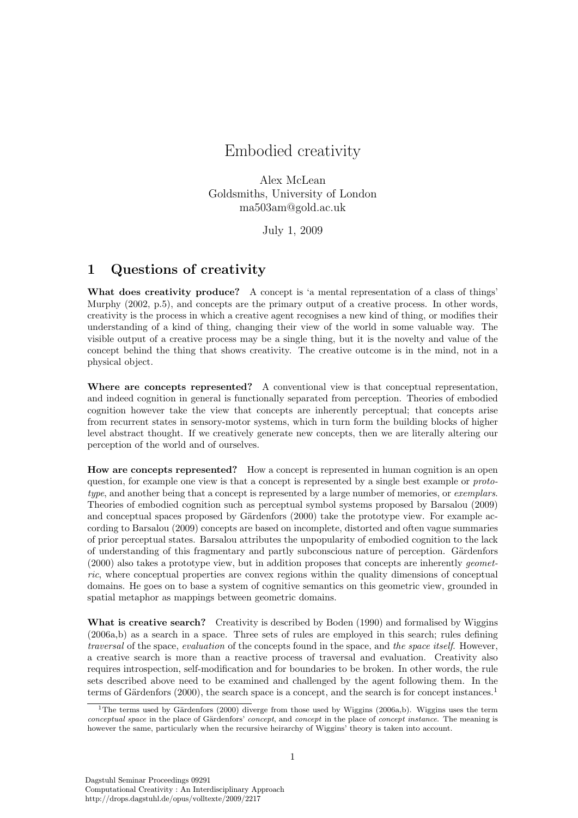## Embodied creativity

Alex McLean Goldsmiths, University of London ma503am@gold.ac.uk

July 1, 2009

## 1 Questions of creativity

What does creativity produce? A concept is 'a mental representation of a class of things' Murphy (2002, p.5), and concepts are the primary output of a creative process. In other words, creativity is the process in which a creative agent recognises a new kind of thing, or modifies their understanding of a kind of thing, changing their view of the world in some valuable way. The visible output of a creative process may be a single thing, but it is the novelty and value of the concept behind the thing that shows creativity. The creative outcome is in the mind, not in a physical object.

Where are concepts represented? A conventional view is that conceptual representation, and indeed cognition in general is functionally separated from perception. Theories of embodied cognition however take the view that concepts are inherently perceptual; that concepts arise from recurrent states in sensory-motor systems, which in turn form the building blocks of higher level abstract thought. If we creatively generate new concepts, then we are literally altering our perception of the world and of ourselves.

How are concepts represented? How a concept is represented in human cognition is an open question, for example one view is that a concept is represented by a single best example or *proto*type, and another being that a concept is represented by a large number of memories, or exemplars. Theories of embodied cognition such as perceptual symbol systems proposed by Barsalou (2009) and conceptual spaces proposed by Gärdenfors (2000) take the prototype view. For example according to Barsalou (2009) concepts are based on incomplete, distorted and often vague summaries of prior perceptual states. Barsalou attributes the unpopularity of embodied cognition to the lack of understanding of this fragmentary and partly subconscious nature of perception. Gärdenfors (2000) also takes a prototype view, but in addition proposes that concepts are inherently geometric, where conceptual properties are convex regions within the quality dimensions of conceptual domains. He goes on to base a system of cognitive semantics on this geometric view, grounded in spatial metaphor as mappings between geometric domains.

What is creative search? Creativity is described by Boden (1990) and formalised by Wiggins (2006a,b) as a search in a space. Three sets of rules are employed in this search; rules defining traversal of the space, evaluation of the concepts found in the space, and the space itself. However, a creative search is more than a reactive process of traversal and evaluation. Creativity also requires introspection, self-modification and for boundaries to be broken. In other words, the rule sets described above need to be examined and challenged by the agent following them. In the terms of Gärdenfors  $(2000)$ , the search space is a concept, and the search is for concept instances.<sup>1</sup>

<sup>&</sup>lt;sup>1</sup>The terms used by Gärdenfors (2000) diverge from those used by Wiggins (2006a,b). Wiggins uses the term conceptual space in the place of Gärdenfors' concept, and concept in the place of concept instance. The meaning is however the same, particularly when the recursive heirarchy of Wiggins' theory is taken into account.